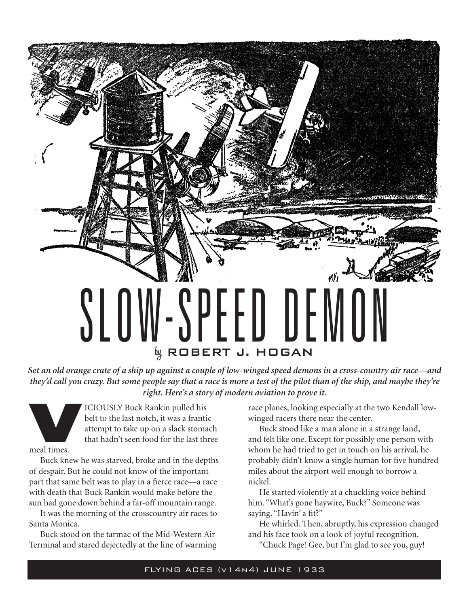

*Set an old orange crate of a ship up against a couple of low-winged speed demons in a cross-country air race—and they'd call you crazy. But some people say that a race is more a test of the pilot than of the ship, and maybe they're right. Here's a story of modern aviation to prove it.*



ICIOUSLY Buck Rankin pulled his<br>belt to the last notch, it was a franti-<br>attempt to take up on a slack stoma<br>that hadn't seen food for the last this<br>meal times. belt to the last notch, it was a frantic attempt to take up on a slack stomach that hadn't seen food for the last three

meal times.

Buck knew he was starved, broke and in the depths of despair. But he could not know of the important part that same belt was to play in a fierce race—a race with death that Buck Rankin would make before the sun had gone down behind a far-off mountain range.

It was the morning of the crosscountry air races to Santa Monica.

Buck stood on the tarmac of the Mid-Western Air Terminal and stared dejectedly at the line of warming race planes, looking especially at the two Kendall lowwinged racers there near the center.

Buck stood like a man alone in a strange land, and felt like one. Except for possibly one person with whom he had tried to get in touch on his arrival, he probably didn't know a single human for five hundred miles about the airport well enough to borrow a nickel.

He started violently at a chuckling voice behind him. "What's gone haywire, Buck?" Someone was saying. "Havin' a fit?"

He whirled. Then, abruptly, his expression changed and his face took on a look of joyful recognition.

"Chuck Page! Gee, but I'm glad to see you, guy!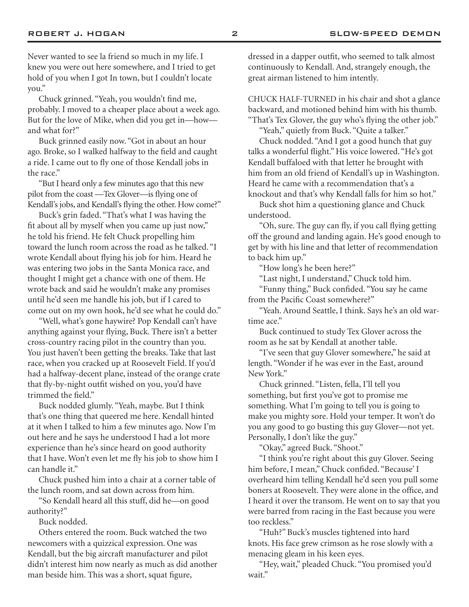Never wanted to see la friend so much in my life. I knew you were out here somewhere, and I tried to get hold of you when I got In town, but I couldn't locate you."

Chuck grinned. "Yeah, you wouldn't find me, probably. I moved to a cheaper place about a week ago. But for the love of Mike, when did you get in—how and what for?"

Buck grinned easily now. "Got in about an hour ago. Broke, so I walked halfway to the field and caught a ride. I came out to fly one of those Kendall jobs in the race."

"But I heard only a few minutes ago that this new pilot from the coast —Tex Glover—is flying one of Kendall's jobs, and Kendall's flying the other. How come?"

Buck's grin faded. "That's what I was having the fit about all by myself when you came up just now," he told his friend. He felt Chuck propelling him toward the lunch room across the road as he talked. "I wrote Kendall about flying his job for him. Heard he was entering two jobs in the Santa Monica race, and thought I might get a chance with one of them. He wrote back and said he wouldn't make any promises until he'd seen me handle his job, but if I cared to come out on my own hook, he'd see what he could do."

"Well, what's gone haywire? Pop Kendall can't have anything against your flying, Buck. There isn't a better cross-country racing pilot in the country than you. You just haven't been getting the breaks. Take that last race, when you cracked up at Roosevelt Field. If you'd had a halfway-decent plane, instead of the orange crate that fly-by-night outfit wished on you, you'd have trimmed the field."

Buck nodded glumly. "Yeah, maybe. But I think that's one thing that queered me here. Kendall hinted at it when I talked to him a few minutes ago. Now I'm out here and he says he understood I had a lot more experience than he's since heard on good authority that I have. Won't even let me fly his job to show him I can handle it."

Chuck pushed him into a chair at a corner table of the lunch room, and sat down across from him.

"So Kendall heard all this stuff, did he—on good authority?"

Buck nodded.

Others entered the room. Buck watched the two newcomers with a quizzical expression. One was Kendall, but the big aircraft manufacturer and pilot didn't interest him now nearly as much as did another man beside him. This was a short, squat figure,

dressed in a dapper outfit, who seemed to talk almost continuously to Kendall. And, strangely enough, the great airman listened to him intently.

CHUCK HALF-TURNED in his chair and shot a glance backward, and motioned behind him with his thumb. "That's Tex Glover, the guy who's flying the other job."

"Yeah," quietly from Buck. "Quite a talker."

Chuck nodded. "And I got a good hunch that guy talks a wonderful flight." His voice lowered. "He's got Kendall buffaloed with that letter he brought with him from an old friend of Kendall's up in Washington. Heard he came with a recommendation that's a knockout and that's why Kendall falls for him so hot."

Buck shot him a questioning glance and Chuck understood.

"Oh, sure. The guy can fly, if you call flying getting off the ground and landing again. He's good enough to get by with his line and that letter of recommendation to back him up."

"How long's he been here?"

"Last night, I understand," Chuck told him.

"Funny thing," Buck confided. "You say he came from the Pacific Coast somewhere?"

"Yeah. Around Seattle, I think. Says he's an old wartime ace."

Buck continued to study Tex Glover across the room as he sat by Kendall at another table.

"I've seen that guy Glover somewhere," he said at length. "Wonder if he was ever in the East, around New York."

Chuck grinned. "Listen, fella, I'll tell you something, but first you've got to promise me something. What I'm going to tell you is going to make you mighty sore. Hold your temper. It won't do you any good to go busting this guy Glover—not yet. Personally, I don't like the guy."

"Okay," agreed Buck. "Shoot."

"I think you're right about this guy Glover. Seeing him before, I mean," Chuck confided. "Because' I overheard him telling Kendall he'd seen you pull some boners at Roosevelt. They were alone in the office, and I heard it over the transom. He went on to say that you were barred from racing in the East because you were too reckless."

"Huh?" Buck's muscles tightened into hard knots. His face grew crimson as he rose slowly with a menacing gleam in his keen eyes.

"Hey, wait," pleaded Chuck. "You promised you'd wait."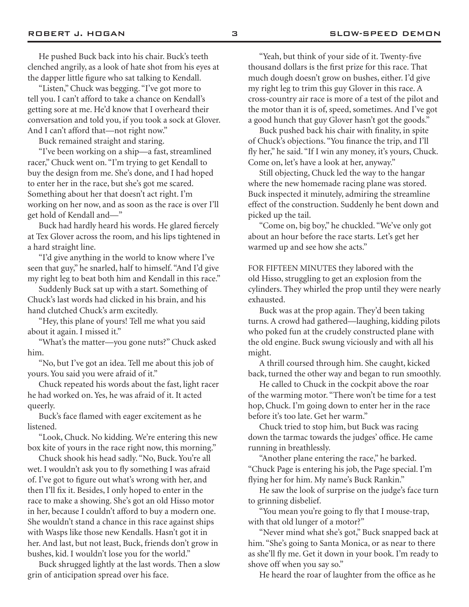He pushed Buck back into his chair. Buck's teeth clenched angrily, as a look of hate shot from his eyes at the dapper little figure who sat talking to Kendall.

"Listen," Chuck was begging. "I've got more to tell you. I can't afford to take a chance on Kendall's getting sore at me. He'd know that I overheard their conversation and told you, if you took a sock at Glover. And I can't afford that—not right now."

Buck remained straight and staring.

"I've been working on a ship—a fast, streamlined racer," Chuck went on. "I'm trying to get Kendall to buy the design from me. She's done, and I had hoped to enter her in the race, but she's got me scared. Something about her that doesn't act right. I'm working on her now, and as soon as the race is over I'll get hold of Kendall and—"

Buck had hardly heard his words. He glared fiercely at Tex Glover across the room, and his lips tightened in a hard straight line.

"I'd give anything in the world to know where I've seen that guy," he snarled, half to himself. "And I'd give my right leg to beat both him and Kendall in this race."

Suddenly Buck sat up with a start. Something of Chuck's last words had clicked in his brain, and his hand clutched Chuck's arm excitedly.

"Hey, this plane of yours! Tell me what you said about it again. I missed it."

"What's the matter—you gone nuts?" Chuck asked him.

"No, but I've got an idea. Tell me about this job of yours. You said you were afraid of it."

Chuck repeated his words about the fast, light racer he had worked on. Yes, he was afraid of it. It acted queerly.

Buck's face flamed with eager excitement as he listened.

"Look, Chuck. No kidding. We're entering this new box kite of yours in the race right now, this morning."

Chuck shook his head sadly. "No, Buck. You're all wet. I wouldn't ask you to fly something I was afraid of. I've got to figure out what's wrong with her, and then I'll fix it. Besides, I only hoped to enter in the race to make a showing. She's got an old Hisso motor in her, because I couldn't afford to buy a modern one. She wouldn't stand a chance in this race against ships with Wasps like those new Kendalls. Hasn't got it in her. And last, but not least, Buck, friends don't grow in bushes, kid. I wouldn't lose you for the world."

Buck shrugged lightly at the last words. Then a slow grin of anticipation spread over his face.

"Yeah, but think of your side of it. Twenty-five thousand dollars is the first prize for this race. That much dough doesn't grow on bushes, either. I'd give my right leg to trim this guy Glover in this race. A cross-country air race is more of a test of the pilot and the motor than it is of, speed, sometimes. And I've got a good hunch that guy Glover hasn't got the goods."

Buck pushed back his chair with finality, in spite of Chuck's objections. "You finance the trip, and I'll fly her," he said. "If I win any money, it's yours, Chuck. Come on, let's have a look at her, anyway."

Still objecting, Chuck led the way to the hangar where the new homemade racing plane was stored. Buck inspected it minutely, admiring the streamline effect of the construction. Suddenly he bent down and picked up the tail.

"Come on, big boy," he chuckled. "We've only got about an hour before the race starts. Let's get her warmed up and see how she acts."

FOR FIFTEEN MINUTES they labored with the old Hisso, struggling to get an explosion from the cylinders. They whirled the prop until they were nearly exhausted.

Buck was at the prop again. They'd been taking turns. A crowd had gathered—laughing, kidding pilots who poked fun at the crudely constructed plane with the old engine. Buck swung viciously and with all his might.

A thrill coursed through him. She caught, kicked back, turned the other way and began to run smoothly.

He called to Chuck in the cockpit above the roar of the warming motor. "There won't be time for a test hop, Chuck. I'm going down to enter her in the race before it's too late. Get her warm."

Chuck tried to stop him, but Buck was racing down the tarmac towards the judges' office. He came running in breathlessly.

"Another plane entering the race," he barked. "Chuck Page is entering his job, the Page special. I'm flying her for him. My name's Buck Rankin."

He saw the look of surprise on the judge's face turn to grinning disbelief.

"You mean you're going to fly that I mouse-trap, with that old lunger of a motor?"

"Never mind what she's got," Buck snapped back at him. "She's going to Santa Monica, or as near to there as she'll fly me. Get it down in your book. I'm ready to shove off when you say so."

He heard the roar of laughter from the office as he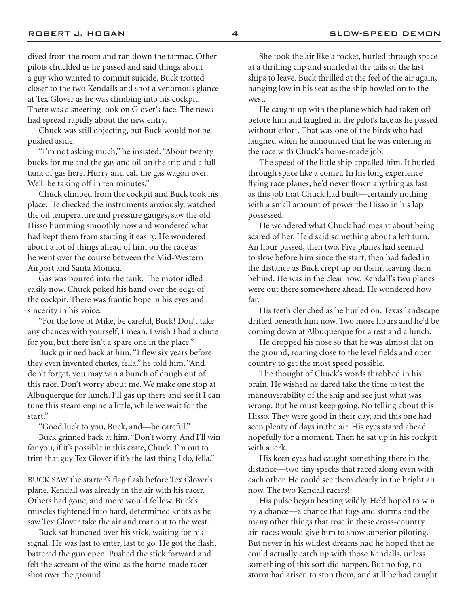dived from the room and ran down the tarmac. Other pilots chuckled as he passed and said things about a guy who wanted to commit suicide. Buck trotted closer to the two Kendalls and shot a venomous glance at Tex Glover as he was climbing into his cockpit. There was a sneering look on Glover's face. The news had spread rapidly about the new entry.

Chuck was still objecting, but Buck would not be pushed aside.

"I'm not asking much," he insisted. "About twenty bucks for me and the gas and oil on the trip and a full tank of gas here. Hurry and call the gas wagon over. We'll be taking off in ten minutes."

Chuck climbed from the cockpit and Buck took his place. He checked the instruments anxiously, watched the oil temperature and pressure gauges, saw the old Hisso humming smoothly now and wondered what had kept them from starting it easily. He wondered about a lot of things ahead of him on the race as he went over the course between the Mid-Western Airport and Santa Monica.

Gas was poured into the tank. The motor idled easily now. Chuck poked his hand over the edge of the cockpit. There was frantic hope in his eyes and sincerity in his voice.

"For the love of Mike, be careful, Buck! Don't take any chances with yourself, I mean. I wish I had a chute for you, but there isn't a spare one in the place."

Buck grinned back at him. "I flew six years before they even invented chutes, fella," he told him. "And don't forget, you may win a bunch of dough out of this race. Don't worry about me. We make one stop at Albuquerque for lunch. I'll gas up there and see if I can tune this steam engine a little, while we wait for the start."

"Good luck to you, Buck, and—be careful."

Buck grinned back at him. "Don't worry. And I'll win for you, if it's possible in this crate, Chuck. I'm out to trim that guy Tex Glover if it's the last thing I do, fella."

BUCK SAW the starter's flag flash before Tex Glover's plane. Kendall was already in the air with his racer. Others had gone, and more would follow. Buck's muscles tightened into hard, determined knots as he saw Tex Glover take the air and roar out to the west.

Buck sat hunched over his stick, waiting for his signal. He was last to enter, last to go. He got the flash, battered the gun open. Pushed the stick forward and felt the scream of the wind as the home-made racer shot over the ground.

She took the air like a rocket, hurled through space at a thrilling clip and snarled at the tails of the last ships to leave. Buck thrilled at the feel of the air again, hanging low in his seat as the ship howled on to the west.

He caught up with the plane which had taken off before him and laughed in the pilot's face as he passed without effort. That was one of the birds who had laughed when he announced that he was entering in the race with Chuck's home-made job.

The speed of the little ship appalled him. It hurled through space like a comet. In his long experience flying race planes, he'd never flown anything as fast as this job that Chuck had built—certainly nothing with a small amount of power the Hisso in his lap possessed.

He wondered what Chuck had meant about being scared of her. He'd said something about a left turn. An hour passed, then two. Five planes had seemed to slow before him since the start, then had faded in the distance as Buck crept up on them, leaving them behind. He was in the clear now. Kendall's two planes were out there somewhere ahead. He wondered how far.

His teeth clenched as he hurled on. Texas landscape drifted beneath him now. Two more hours and he'd be coming down at Albuquerque for a rest and a lunch.

He dropped his nose so that he was almost flat on the ground, roaring close to the level fields and open country to get the most speed possible.

The thought of Chuck's words throbbed in his brain. He wished he dared take the time to test the maneuverability of the ship and see just what was wrong. But he must keep going. No telling about this Hisso. They were good in their day, and this one had seen plenty of days in the air. His eyes stared ahead hopefully for a moment. Then he sat up in his cockpit with a jerk.

His keen eyes had caught something there in the distance—two tiny specks that raced along even with each other. He could see them clearly in the bright air now. The two Kendall racers!

His pulse began beating wildly. He'd hoped to win by a chance—a chance that fogs and storms and the many other things that rose in these cross-country air races would give him to show superior piloting. But never in his wildest dreams had he hoped that he could actually catch up with those Kendalls, unless something of this sort did happen. But no fog, no storm had arisen to stop them, and still he had caught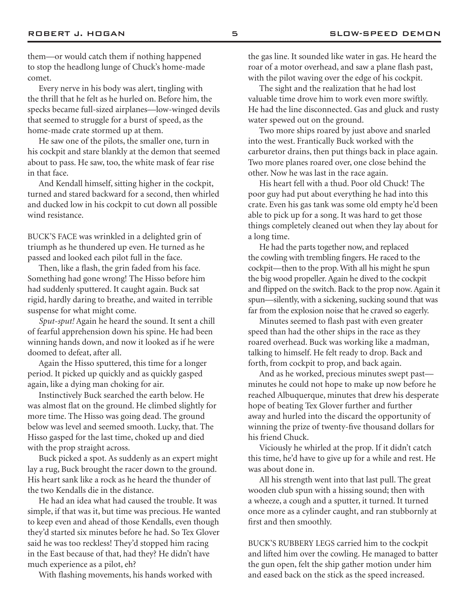them—or would catch them if nothing happened to stop the headlong lunge of Chuck's home-made comet.

Every nerve in his body was alert, tingling with the thrill that he felt as he hurled on. Before him, the specks became full-sized airplanes—low-winged devils that seemed to struggle for a burst of speed, as the home-made crate stormed up at them.

He saw one of the pilots, the smaller one, turn in his cockpit and stare blankly at the demon that seemed about to pass. He saw, too, the white mask of fear rise in that face.

And Kendall himself, sitting higher in the cockpit, turned and stared backward for a second, then whirled and ducked low in his cockpit to cut down all possible wind resistance.

BUCK'S FACE was wrinkled in a delighted grin of triumph as he thundered up even. He turned as he passed and looked each pilot full in the face.

Then, like a flash, the grin faded from his face. Something had gone wrong! The Hisso before him had suddenly sputtered. It caught again. Buck sat rigid, hardly daring to breathe, and waited in terrible suspense for what might come.

*Sput-sput!* Again he heard the sound. It sent a chill of fearful apprehension down his spine. He had been winning hands down, and now it looked as if he were doomed to defeat, after all.

Again the Hisso sputtered, this time for a longer period. It picked up quickly and as quickly gasped again, like a dying man choking for air.

Instinctively Buck searched the earth below. He was almost flat on the ground. He climbed slightly for more time. The Hisso was going dead. The ground below was level and seemed smooth. Lucky, that. The Hisso gasped for the last time, choked up and died with the prop straight across.

Buck picked a spot. As suddenly as an expert might lay a rug, Buck brought the racer down to the ground. His heart sank like a rock as he heard the thunder of the two Kendalls die in the distance.

He had an idea what had caused the trouble. It was simple, if that was it, but time was precious. He wanted to keep even and ahead of those Kendalls, even though they'd started six minutes before he had. So Tex Glover said he was too reckless! They'd stopped him racing in the East because of that, had they? He didn't have much experience as a pilot, eh?

With flashing movements, his hands worked with

the gas line. It sounded like water in gas. He heard the roar of a motor overhead, and saw a plane flash past, with the pilot waving over the edge of his cockpit.

The sight and the realization that he had lost valuable time drove him to work even more swiftly. He had the line disconnected. Gas and gluck and rusty water spewed out on the ground.

Two more ships roared by just above and snarled into the west. Frantically Buck worked with the carburetor drains, then put things back in place again. Two more planes roared over, one close behind the other. Now he was last in the race again.

His heart fell with a thud. Poor old Chuck! The poor guy had put about everything he had into this crate. Even his gas tank was some old empty he'd been able to pick up for a song. It was hard to get those things completely cleaned out when they lay about for a long time.

He had the parts together now, and replaced the cowling with trembling fingers. He raced to the cockpit—then to the prop. With all his might he spun the big wood propeller. Again he dived to the cockpit and flipped on the switch. Back to the prop now. Again it spun—silently, with a sickening, sucking sound that was far from the explosion noise that he craved so eagerly.

Minutes seemed to flash past with even greater speed than had the other ships in the race as they roared overhead. Buck was working like a madman, talking to himself. He felt ready to drop. Back and forth, from cockpit to prop, and back again.

And as he worked, precious minutes swept past minutes he could not hope to make up now before he reached Albuquerque, minutes that drew his desperate hope of beating Tex Glover further and further away and hurled into the discard the opportunity of winning the prize of twenty-five thousand dollars for his friend Chuck.

Viciously he whirled at the prop. If it didn't catch this time, he'd have to give up for a while and rest. He was about done in.

All his strength went into that last pull. The great wooden club spun with a hissing sound; then with a wheeze, a cough and a sputter, it turned. It turned once more as a cylinder caught, and ran stubbornly at first and then smoothly.

BUCK'S RUBBERY LEGS carried him to the cockpit and lifted him over the cowling. He managed to batter the gun open, felt the ship gather motion under him and eased back on the stick as the speed increased.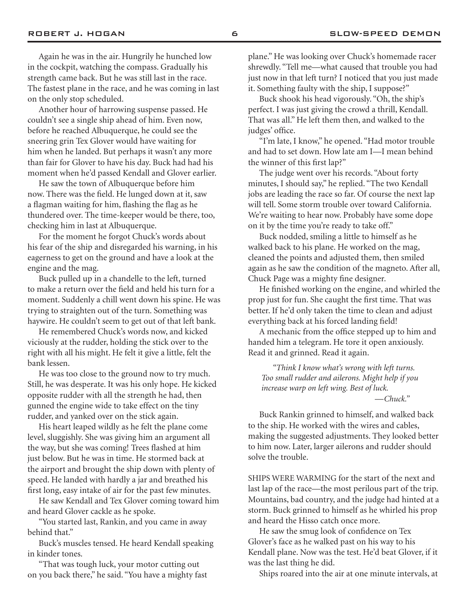Again he was in the air. Hungrily he hunched low in the cockpit, watching the compass. Gradually his strength came back. But he was still last in the race. The fastest plane in the race, and he was coming in last on the only stop scheduled.

Another hour of harrowing suspense passed. He couldn't see a single ship ahead of him. Even now, before he reached Albuquerque, he could see the sneering grin Tex Glover would have waiting for him when he landed. But perhaps it wasn't any more than fair for Glover to have his day. Buck had had his moment when he'd passed Kendall and Glover earlier.

He saw the town of Albuquerque before him now. There was the field. He lunged down at it, saw a flagman waiting for him, flashing the flag as he thundered over. The time-keeper would be there, too, checking him in last at Albuquerque.

For the moment he forgot Chuck's words about his fear of the ship and disregarded his warning, in his eagerness to get on the ground and have a look at the engine and the mag.

Buck pulled up in a chandelle to the left, turned to make a return over the field and held his turn for a moment. Suddenly a chill went down his spine. He was trying to straighten out of the turn. Something was haywire. He couldn't seem to get out of that left bank.

He remembered Chuck's words now, and kicked viciously at the rudder, holding the stick over to the right with all his might. He felt it give a little, felt the bank lessen.

He was too close to the ground now to try much. Still, he was desperate. It was his only hope. He kicked opposite rudder with all the strength he had, then gunned the engine wide to take effect on the tiny rudder, and yanked over on the stick again.

His heart leaped wildly as he felt the plane come level, sluggishly. She was giving him an argument all the way, but she was coming! Trees flashed at him just below. But he was in time. He stormed back at the airport and brought the ship down with plenty of speed. He landed with hardly a jar and breathed his first long, easy intake of air for the past few minutes.

He saw Kendall and Tex Glover coming toward him and heard Glover cackle as he spoke.

"You started last, Rankin, and you came in away behind that."

Buck's muscles tensed. He heard Kendall speaking in kinder tones.

"That was tough luck, your motor cutting out on you back there," he said. "You have a mighty fast plane." He was looking over Chuck's homemade racer shrewdly. "Tell me—what caused that trouble you had just now in that left turn? I noticed that you just made it. Something faulty with the ship, I suppose?"

Buck shook his head vigorously. "Oh, the ship's perfect. I was just giving the crowd a thrill, Kendall. That was all." He left them then, and walked to the judges' office.

"I'm late, I know," he opened. "Had motor trouble and had to set down. How late am I—I mean behind the winner of this first lap?"

The judge went over his records. "About forty minutes, I should say," he replied. "The two Kendall jobs are leading the race so far. Of course the next lap will tell. Some storm trouble over toward California. We're waiting to hear now. Probably have some dope on it by the time you're ready to take off."

Buck nodded, smiling a little to himself as he walked back to his plane. He worked on the mag, cleaned the points and adjusted them, then smiled again as he saw the condition of the magneto. After all, Chuck Page was a mighty fine designer.

He finished working on the engine, and whirled the prop just for fun. She caught the first time. That was better. If he'd only taken the time to clean and adjust everything back at his forced landing field!

A mechanic from the office stepped up to him and handed him a telegram. He tore it open anxiously. Read it and grinned. Read it again.

*"Think I know what's wrong with left turns. Too small rudder and ailerons. Might help if you increase warp on left wing. Best of luck.* —*Chuck."*

Buck Rankin grinned to himself, and walked back to the ship. He worked with the wires and cables, making the suggested adjustments. They looked better to him now. Later, larger ailerons and rudder should solve the trouble.

SHIPS WERE WARMING for the start of the next and last lap of the race—the most perilous part of the trip. Mountains, bad country, and the judge had hinted at a storm. Buck grinned to himself as he whirled his prop and heard the Hisso catch once more.

He saw the smug look of confidence on Tex Glover's face as he walked past on his way to his Kendall plane. Now was the test. He'd beat Glover, if it was the last thing he did.

Ships roared into the air at one minute intervals, at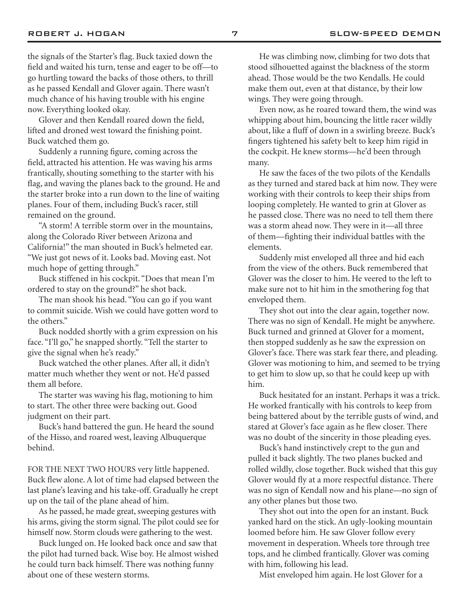the signals of the Starter's flag. Buck taxied down the field and waited his turn, tense and eager to be off—to go hurtling toward the backs of those others, to thrill as he passed Kendall and Glover again. There wasn't much chance of his having trouble with his engine now. Everything looked okay.

Glover and then Kendall roared down the field, lifted and droned west toward the finishing point. Buck watched them go.

Suddenly a running figure, coming across the field, attracted his attention. He was waving his arms frantically, shouting something to the starter with his flag, and waving the planes back to the ground. He and the starter broke into a run down to the line of waiting planes. Four of them, including Buck's racer, still remained on the ground.

"A storm! A terrible storm over in the mountains, along the Colorado River between Arizona and California!" the man shouted in Buck's helmeted ear. "We just got news of it. Looks bad. Moving east. Not much hope of getting through."

Buck stiffened in his cockpit. "Does that mean I'm ordered to stay on the ground?" he shot back.

The man shook his head. "You can go if you want to commit suicide. Wish we could have gotten word to the others."

Buck nodded shortly with a grim expression on his face. "I'll go," he snapped shortly. "Tell the starter to give the signal when he's ready."

Buck watched the other planes. After all, it didn't matter much whether they went or not. He'd passed them all before.

The starter was waving his flag, motioning to him to start. The other three were backing out. Good judgment on their part.

Buck's hand battered the gun. He heard the sound of the Hisso, and roared west, leaving Albuquerque behind.

FOR THE NEXT TWO HOURS very little happened. Buck flew alone. A lot of time had elapsed between the last plane's leaving and his take-off. Gradually he crept up on the tail of the plane ahead of him.

As he passed, he made great, sweeping gestures with his arms, giving the storm signal. The pilot could see for himself now. Storm clouds were gathering to the west.

Buck lunged on. He looked back once and saw that the pilot had turned back. Wise boy. He almost wished he could turn back himself. There was nothing funny about one of these western storms.

He was climbing now, climbing for two dots that stood silhouetted against the blackness of the storm ahead. Those would be the two Kendalls. He could make them out, even at that distance, by their low wings. They were going through.

Even now, as he roared toward them, the wind was whipping about him, bouncing the little racer wildly about, like a fluff of down in a swirling breeze. Buck's fingers tightened his safety belt to keep him rigid in the cockpit. He knew storms—he'd been through many.

He saw the faces of the two pilots of the Kendalls as they turned and stared back at him now. They were working with their controls to keep their ships from looping completely. He wanted to grin at Glover as he passed close. There was no need to tell them there was a storm ahead now. They were in it—all three of them—fighting their individual battles with the elements.

Suddenly mist enveloped all three and hid each from the view of the others. Buck remembered that Glover was the closer to him. He veered to the left to make sure not to hit him in the smothering fog that enveloped them.

They shot out into the clear again, together now. There was no sign of Kendall. He might be anywhere. Buck turned and grinned at Glover for a moment, then stopped suddenly as he saw the expression on Glover's face. There was stark fear there, and pleading. Glover was motioning to him, and seemed to be trying to get him to slow up, so that he could keep up with him.

Buck hesitated for an instant. Perhaps it was a trick. He worked frantically with his controls to keep from being battered about by the terrible gusts of wind, and stared at Glover's face again as he flew closer. There was no doubt of the sincerity in those pleading eyes.

Buck's hand instinctively crept to the gun and pulled it back slightly. The two planes bucked and rolled wildly, close together. Buck wished that this guy Glover would fly at a more respectful distance. There was no sign of Kendall now and his plane—no sign of any other planes but those two.

They shot out into the open for an instant. Buck yanked hard on the stick. An ugly-looking mountain loomed before him. He saw Glover follow every movement in desperation. Wheels tore through tree tops, and he climbed frantically. Glover was coming with him, following his lead.

Mist enveloped him again. He lost Glover for a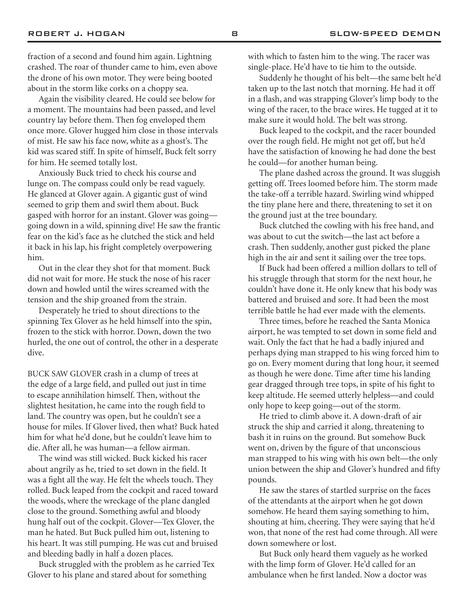fraction of a second and found him again. Lightning crashed. The roar of thunder came to him, even above the drone of his own motor. They were being booted about in the storm like corks on a choppy sea.

Again the visibility cleared. He could see below for a moment. The mountains had been passed, and level country lay before them. Then fog enveloped them once more. Glover hugged him close in those intervals of mist. He saw his face now, white as a ghost's. The kid was scared stiff. In spite of himself, Buck felt sorry for him. He seemed totally lost.

Anxiously Buck tried to check his course and lunge on. The compass could only be read vaguely. He glanced at Glover again. A gigantic gust of wind seemed to grip them and swirl them about. Buck gasped with horror for an instant. Glover was going going down in a wild, spinning dive! He saw the frantic fear on the kid's face as he clutched the stick and held it back in his lap, his fright completely overpowering him.

Out in the clear they shot for that moment. Buck did not wait for more. He stuck the nose of his racer down and howled until the wires screamed with the tension and the ship groaned from the strain.

Desperately he tried to shout directions to the spinning Tex Glover as he held himself into the spin, frozen to the stick with horror. Down, down the two hurled, the one out of control, the other in a desperate dive.

BUCK SAW GLOVER crash in a clump of trees at the edge of a large field, and pulled out just in time to escape annihilation himself. Then, without the slightest hesitation, he came into the rough field to land. The country was open, but he couldn't see a house for miles. If Glover lived, then what? Buck hated him for what he'd done, but he couldn't leave him to die. After all, he was human—a fellow airman.

The wind was still wicked. Buck kicked his racer about angrily as he, tried to set down in the field. It was a fight all the way. He felt the wheels touch. They rolled. Buck leaped from the cockpit and raced toward the woods, where the wreckage of the plane dangled close to the ground. Something awful and bloody hung half out of the cockpit. Glover—Tex Glover, the man he hated. But Buck pulled him out, listening to his heart. It was still pumping. He was cut and bruised and bleeding badly in half a dozen places.

Buck struggled with the problem as he carried Tex Glover to his plane and stared about for something

with which to fasten him to the wing. The racer was single-place. He'd have to tie him to the outside.

Suddenly he thought of his belt—the same belt he'd taken up to the last notch that morning. He had it off in a flash, and was strapping Glover's limp body to the wing of the racer, to the brace wires. He tugged at it to make sure it would hold. The belt was strong.

Buck leaped to the cockpit, and the racer bounded over the rough field. He might not get off, but he'd have the satisfaction of knowing he had done the best he could—for another human being.

The plane dashed across the ground. It was sluggish getting off. Trees loomed before him. The storm made the take-off a terrible hazard. Swirling wind whipped the tiny plane here and there, threatening to set it on the ground just at the tree boundary.

Buck clutched the cowling with his free hand, and was about to cut the switch—the last act before a crash. Then suddenly, another gust picked the plane high in the air and sent it sailing over the tree tops.

If Buck had been offered a million dollars to tell of his struggle through that storm for the next hour, he couldn't have done it. He only knew that his body was battered and bruised and sore. It had been the most terrible battle he had ever made with the elements.

Three times, before he reached the Santa Monica airport, he was tempted to set down in some field and wait. Only the fact that he had a badly injured and perhaps dying man strapped to his wing forced him to go on. Every moment during that long hour, it seemed as though he were done. Time after time his landing gear dragged through tree tops, in spite of his fight to keep altitude. He seemed utterly helpless—and could only hope to keep going—out of the storm.

He tried to climb above it. A down-draft of air struck the ship and carried it along, threatening to bash it in ruins on the ground. But somehow Buck went on, driven by the figure of that unconscious man strapped to his wing with his own belt—the only union between the ship and Glover's hundred and fifty pounds.

He saw the stares of startled surprise on the faces of the attendants at the airport when he got down somehow. He heard them saying something to him, shouting at him, cheering. They were saying that he'd won, that none of the rest had come through. All were down somewhere or lost.

But Buck only heard them vaguely as he worked with the limp form of Glover. He'd called for an ambulance when he first landed. Now a doctor was